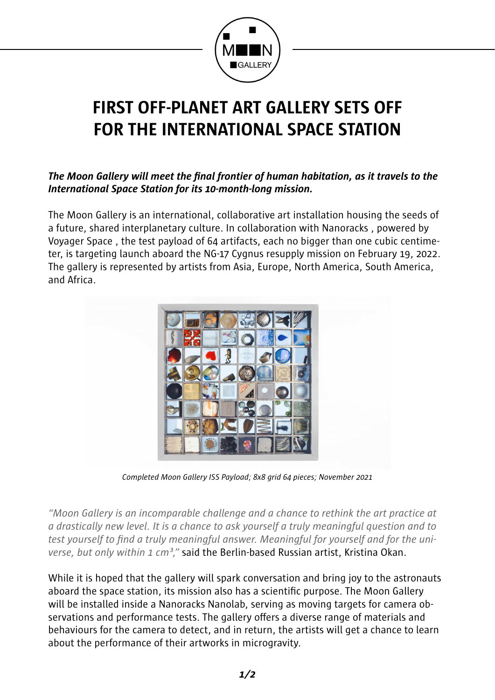

## **FIRST OFF-PLANET ART GALLERY SETS OFF FOR THE INTERNATIONAL SPACE STATION**

## *The Moon Gallery will meet the final frontier of human habitation, as it travels to the International Space Station for its 10-month-long mission.*

The Moon Gallery is an international, collaborative art installation housing the seeds of a future, shared interplanetary culture. In collaboration with Nanoracks , powered by Voyager Space , the test payload of 64 artifacts, each no bigger than one cubic centimeter, is targeting launch aboard the NG-17 Cygnus resupply mission on February 19, 2022. The gallery is represented by artists from Asia, Europe, North America, South America, and Africa.



*Completed Moon Gallery ISS Payload; 8x8 grid 64 pieces; November 2021* 

*"Moon Gallery is an incomparable challenge and a chance to rethink the art practice at a drastically new level. It is a chance to ask yourself a truly meaningful question and to test yourself to find a truly meaningful answer. Meaningful for yourself and for the universe, but only within 1 cm<sup>3</sup>*," said the Berlin-based Russian artist, Kristina Okan.

While it is hoped that the gallery will spark conversation and bring joy to the astronauts aboard the space station, its mission also has a scientific purpose. The Moon Gallery will be installed inside a Nanoracks Nanolab, serving as moving targets for camera observations and performance tests. The gallery offers a diverse range of materials and behaviours for the camera to detect, and in return, the artists will get a chance to learn about the performance of their artworks in microgravity.